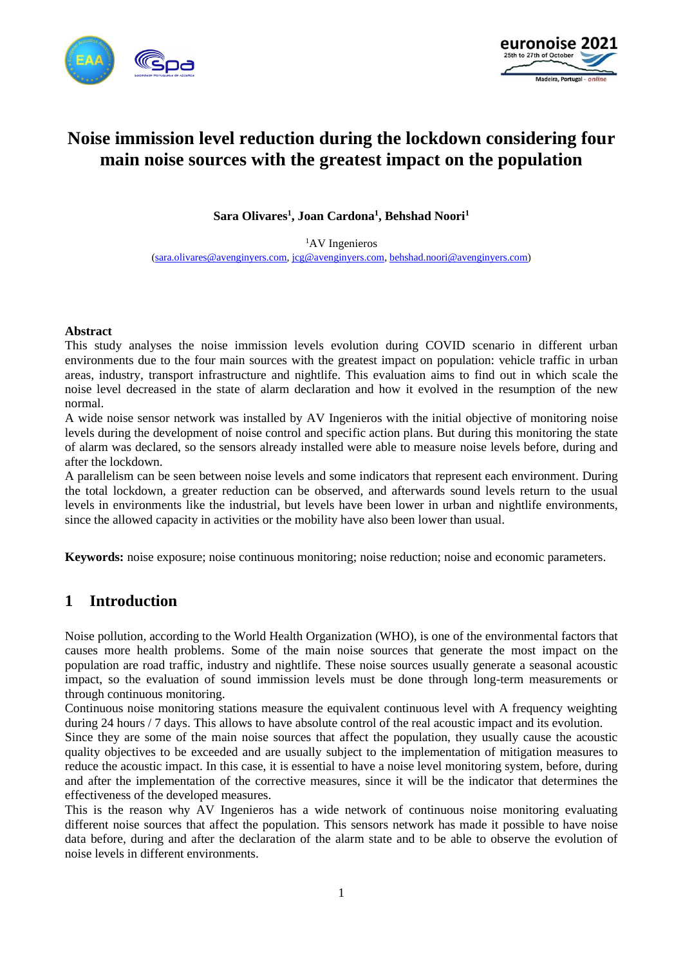



# **Noise immission level reduction during the lockdown considering four main noise sources with the greatest impact on the population**

**Sara Olivares<sup>1</sup> , Joan Cardona<sup>1</sup> , Behshad Noori<sup>1</sup>**

<sup>1</sup>AV Ingenieros [\(sara.olivares@avenginyers.com,](mailto:(sara.olivares@avenginyers.com) [jcg@avenginyers.com,](mailto:jcg@avenginyers.com) [behshad.noori@avenginyers.com\)](mailto:behshad.noori@avenginyers.com)

#### **Abstract**

This study analyses the noise immission levels evolution during COVID scenario in different urban environments due to the four main sources with the greatest impact on population: vehicle traffic in urban areas, industry, transport infrastructure and nightlife. This evaluation aims to find out in which scale the noise level decreased in the state of alarm declaration and how it evolved in the resumption of the new normal.

A wide noise sensor network was installed by AV Ingenieros with the initial objective of monitoring noise levels during the development of noise control and specific action plans. But during this monitoring the state of alarm was declared, so the sensors already installed were able to measure noise levels before, during and after the lockdown.

A parallelism can be seen between noise levels and some indicators that represent each environment. During the total lockdown, a greater reduction can be observed, and afterwards sound levels return to the usual levels in environments like the industrial, but levels have been lower in urban and nightlife environments, since the allowed capacity in activities or the mobility have also been lower than usual.

**Keywords:** noise exposure; noise continuous monitoring; noise reduction; noise and economic parameters.

## **1 Introduction**

Noise pollution, according to the World Health Organization (WHO), is one of the environmental factors that causes more health problems. Some of the main noise sources that generate the most impact on the population are road traffic, industry and nightlife. These noise sources usually generate a seasonal acoustic impact, so the evaluation of sound immission levels must be done through long-term measurements or through continuous monitoring.

Continuous noise monitoring stations measure the equivalent continuous level with A frequency weighting during 24 hours / 7 days. This allows to have absolute control of the real acoustic impact and its evolution.

Since they are some of the main noise sources that affect the population, they usually cause the acoustic quality objectives to be exceeded and are usually subject to the implementation of mitigation measures to reduce the acoustic impact. In this case, it is essential to have a noise level monitoring system, before, during and after the implementation of the corrective measures, since it will be the indicator that determines the effectiveness of the developed measures.

This is the reason why AV Ingenieros has a wide network of continuous noise monitoring evaluating different noise sources that affect the population. This sensors network has made it possible to have noise data before, during and after the declaration of the alarm state and to be able to observe the evolution of noise levels in different environments.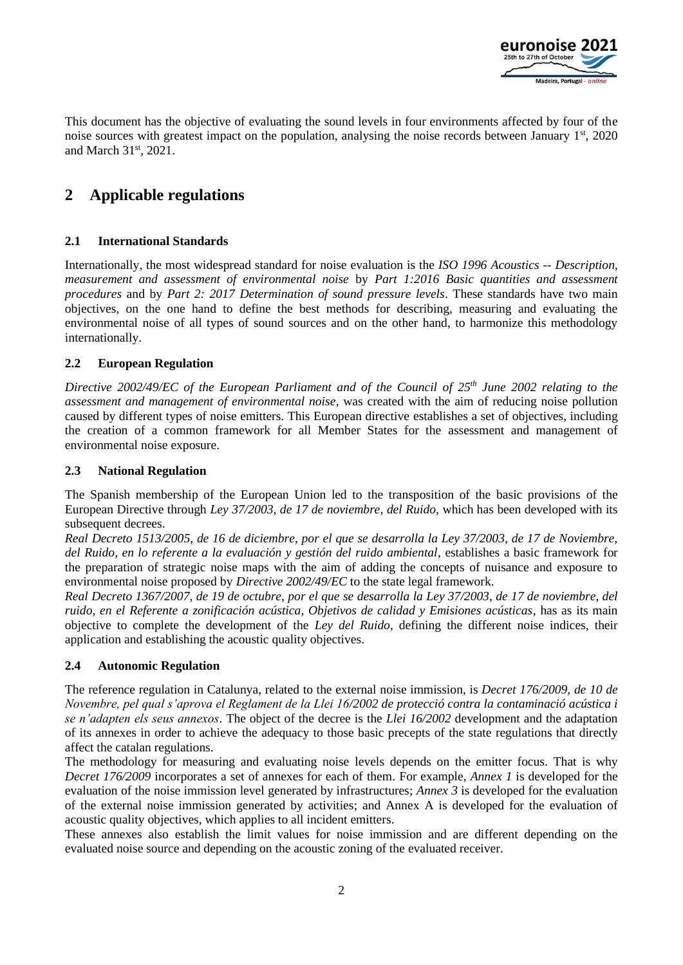

This document has the objective of evaluating the sound levels in four environments affected by four of the noise sources with greatest impact on the population, analysing the noise records between January  $1<sup>st</sup>$ , 2020 and March 31st, 2021.

# **2 Applicable regulations**

## **2.1 International Standards**

Internationally, the most widespread standard for noise evaluation is the *ISO 1996 Acoustics -- Description, measurement and assessment of environmental noise* by *Part 1:2016 Basic quantities and assessment procedures* and by *Part 2: 2017 Determination of sound pressure levels*. These standards have two main objectives, on the one hand to define the best methods for describing, measuring and evaluating the environmental noise of all types of sound sources and on the other hand, to harmonize this methodology internationally.

## **2.2 European Regulation**

*Directive 2002/49/EC of the European Parliament and of the Council of 25th June 2002 relating to the assessment and management of environmental noise*, was created with the aim of reducing noise pollution caused by different types of noise emitters. This European directive establishes a set of objectives, including the creation of a common framework for all Member States for the assessment and management of environmental noise exposure.

#### **2.3 National Regulation**

The Spanish membership of the European Union led to the transposition of the basic provisions of the European Directive through *Ley 37/2003, de 17 de noviembre, del Ruido*, which has been developed with its subsequent decrees.

*Real Decreto 1513/2005, de 16 de diciembre, por el que se desarrolla la Ley 37/2003, de 17 de Noviembre, del Ruido, en lo referente a la evaluación y gestión del ruido ambiental*, establishes a basic framework for the preparation of strategic noise maps with the aim of adding the concepts of nuisance and exposure to environmental noise proposed by *Directive 2002/49/EC* to the state legal framework.

*Real Decreto 1367/2007, de 19 de octubre, por el que se desarrolla la Ley 37/2003, de 17 de noviembre, del ruido, en el Referente a zonificación acústica, Objetivos de calidad y Emisiones acústicas*, has as its main objective to complete the development of the *Ley del Ruido*, defining the different noise indices, their application and establishing the acoustic quality objectives.

#### **2.4 Autonomic Regulation**

The reference regulation in Catalunya, related to the external noise immission, is *Decret 176/2009, de 10 de Novembre, pel qual s'aprova el Reglament de la Llei 16/2002 de protecció contra la contaminació acústica i se n'adapten els seus annexos*. The object of the decree is the *Llei 16/2002* development and the adaptation of its annexes in order to achieve the adequacy to those basic precepts of the state regulations that directly affect the catalan regulations.

The methodology for measuring and evaluating noise levels depends on the emitter focus. That is why *Decret 176/2009* incorporates a set of annexes for each of them. For example, *Annex 1* is developed for the evaluation of the noise immission level generated by infrastructures; *Annex 3* is developed for the evaluation of the external noise immission generated by activities; and Annex A is developed for the evaluation of acoustic quality objectives, which applies to all incident emitters.

These annexes also establish the limit values for noise immission and are different depending on the evaluated noise source and depending on the acoustic zoning of the evaluated receiver.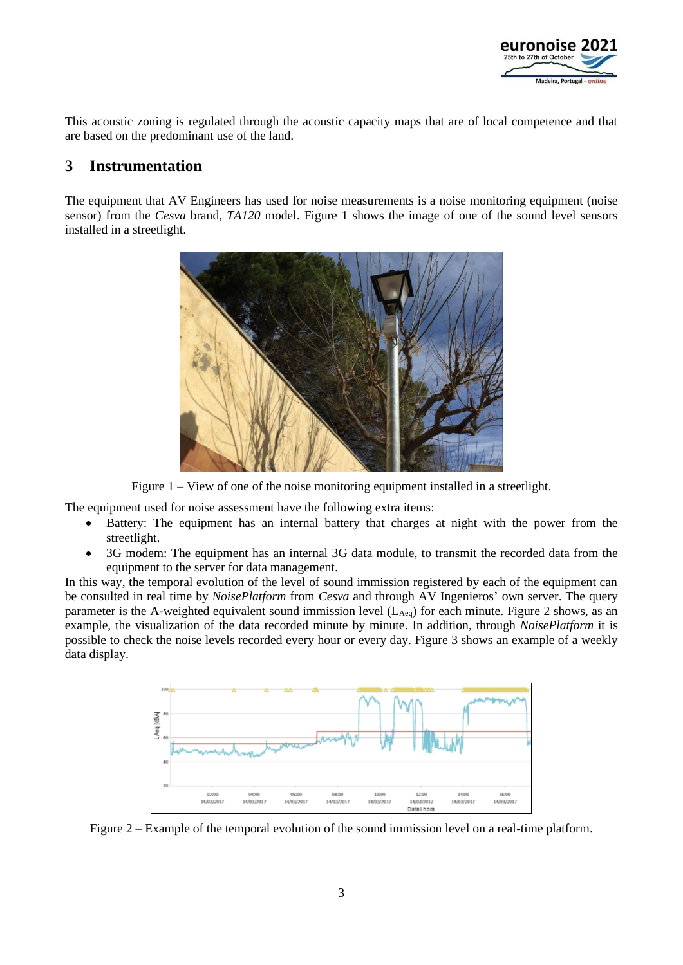

This acoustic zoning is regulated through the acoustic capacity maps that are of local competence and that are based on the predominant use of the land.

# **3 Instrumentation**

The equipment that AV Engineers has used for noise measurements is a noise monitoring equipment (noise sensor) from the *Cesva* brand, *TA120* model. [Figure 1](#page-2-0) shows the image of one of the sound level sensors installed in a streetlight.



Figure 1 – View of one of the noise monitoring equipment installed in a streetlight.

<span id="page-2-0"></span>The equipment used for noise assessment have the following extra items:

- Battery: The equipment has an internal battery that charges at night with the power from the streetlight.
- 3G modem: The equipment has an internal 3G data module, to transmit the recorded data from the equipment to the server for data management.

In this way, the temporal evolution of the level of sound immission registered by each of the equipment can be consulted in real time by *NoisePlatform* from *Cesva* and through AV Ingenieros' own server. The query parameter is the A-weighted equivalent sound immission level  $(L_{Aeq})$  for each minute. [Figure 2](#page-2-1) shows, as an example, the visualization of the data recorded minute by minute. In addition, through *NoisePlatform* it is possible to check the noise levels recorded every hour or every day. [Figure 3](#page-3-0) shows an example of a weekly data display.



<span id="page-2-1"></span>Figure 2 – Example of the temporal evolution of the sound immission level on a real-time platform.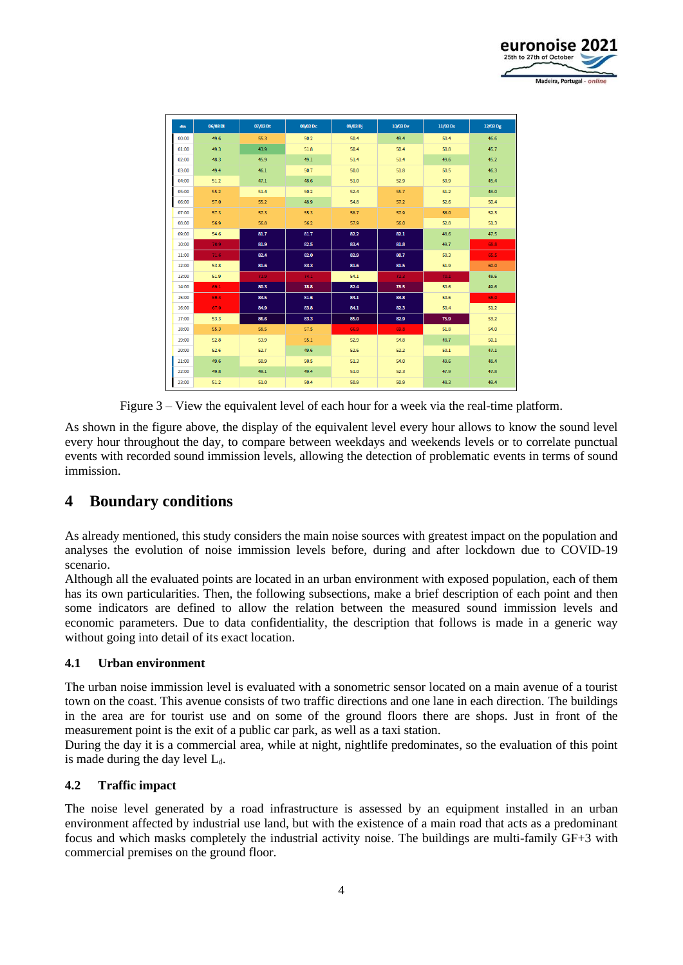

| <b>dBA</b> | 06/03 DI | 07/03 Dt | 08/03 Dc | 09/03 Dj | 10/03 Dv | 11/03 Ds | 12/03 Dg |
|------------|----------|----------|----------|----------|----------|----------|----------|
| 00:00      | 49.6     | 55.3     | 50.2     | 50.4     | 49.4     | 50.4     | 46.6     |
| 01:00      | 49.3     | 43.9     | 51.8     | 50.4     | 50.4     | 50.8     | 45.7     |
| 02:00      | 48.3     | 45.9     | 49.1     | 51.4     | 51.4     | 49.6     | 45.2     |
| 03:00      | 49.4     | 46.1     | 50.7     | 50.0     | 51.8     | 50.5     | 46.3     |
| 04:00      | 51.2     | 47.1     | 48.6     | 51.0     | 52.9     | 50.9     | 45.4     |
| 05:00      | 55.2     | 51.4     | 50.2     | 52.4     | 55.7     | 51.2     | 48.0     |
| 06:00      | 57.0     | 55.2     | 48.9     | 54.8     | 57.2     | 52.6     | 50.4     |
| 07:00      | 57.3     | 57.3     | 55.3     | 58.7     | 57.9     | 56.0     | 52.3     |
| 08:00      | 56.9     | 56.8     | 56.2     | 57.9     | 56.0     | 52.8     | 51.3     |
| 09:00      | 54.6     | 81.7     | 81.7     | 82.2     | 82.1     | 48.6     | 47.5     |
| 10:00      | 70.9     | 81.9     | 82.5     | 83.4     | 81.8     | 49.7     | 68.8     |
| 11:00      | 71.6     | 82.4     | 82.0     | 82.9     | 80.7     | 50.3     | 65.5     |
| 12:00      | 53.8     | 81.6     | 83.3     | 81.6     | 81.5     | 51.9     | 60.0     |
| 13:00      | 51.9     | 71.9     | 74.1     | 54.1     | 72.3     | 70.1     | 48.6     |
| 14:00      | 69.1     | 80.3     | 78.8     | 82.4     | 78.5     | 50.6     | 49.6     |
| 15:00      | 69.4     | 83.5     | 81.6     | 84.1     | 83.8     | 50.6     | 68.0     |
| 16:00      | 67.0     | 84.9     | 83.8     | 84.1     | 82.3     | 50.4     | 51.2     |
| 17:00      | 53.3     | 86.6     | 83.3     | 85.0     | 82.9     | 75.9     | 53.2     |
| 18:00      | 55.3     | 58.5     | 57.5     | 66.9     | 69.8     | 51.8     | 54.0     |
| 19:00      | 52.8     | 53.9     | 55.1     | 52.9     | 54.8     | 48.7     | 50.1     |
| 20:00      | 52.6     | 52.7     | 49.6     | 52.6     | 52.2     | 50.1     | 47.1     |
| 21:00      | 49.6     | 50.9     | 50.5     | 51.3     | 54.0     | 49.6     | 48.4     |
| 22:00      | 49.8     | 49.1     | 49.4     | 51.0     | 52.3     | 47.9     | 47.8     |
| 23:00      | 51.2     | 51.0     | 50.4     | 50.9     | 50.9     | 48.3     | 49.4     |
|            |          |          |          |          |          |          |          |

Figure 3 – View the equivalent level of each hour for a week via the real-time platform.

<span id="page-3-0"></span>As shown in the figure above, the display of the equivalent level every hour allows to know the sound level every hour throughout the day, to compare between weekdays and weekends levels or to correlate punctual events with recorded sound immission levels, allowing the detection of problematic events in terms of sound immission.

# **4 Boundary conditions**

As already mentioned, this study considers the main noise sources with greatest impact on the population and analyses the evolution of noise immission levels before, during and after lockdown due to COVID-19 scenario.

Although all the evaluated points are located in an urban environment with exposed population, each of them has its own particularities. Then, the following subsections, make a brief description of each point and then some indicators are defined to allow the relation between the measured sound immission levels and economic parameters. Due to data confidentiality, the description that follows is made in a generic way without going into detail of its exact location.

## **4.1 Urban environment**

The urban noise immission level is evaluated with a sonometric sensor located on a main avenue of a tourist town on the coast. This avenue consists of two traffic directions and one lane in each direction. The buildings in the area are for tourist use and on some of the ground floors there are shops. Just in front of the measurement point is the exit of a public car park, as well as a taxi station.

During the day it is a commercial area, while at night, nightlife predominates, so the evaluation of this point is made during the day level  $L_d$ .

## **4.2 Traffic impact**

The noise level generated by a road infrastructure is assessed by an equipment installed in an urban environment affected by industrial use land, but with the existence of a main road that acts as a predominant focus and which masks completely the industrial activity noise. The buildings are multi-family GF+3 with commercial premises on the ground floor.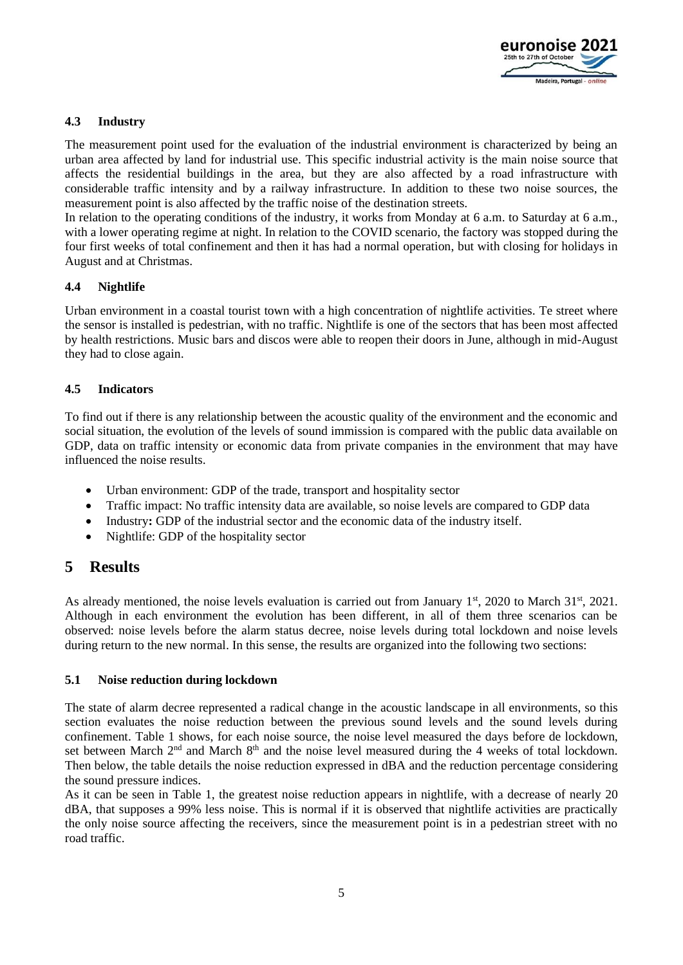

## **4.3 Industry**

The measurement point used for the evaluation of the industrial environment is characterized by being an urban area affected by land for industrial use. This specific industrial activity is the main noise source that affects the residential buildings in the area, but they are also affected by a road infrastructure with considerable traffic intensity and by a railway infrastructure. In addition to these two noise sources, the measurement point is also affected by the traffic noise of the destination streets.

In relation to the operating conditions of the industry, it works from Monday at 6 a.m. to Saturday at 6 a.m., with a lower operating regime at night. In relation to the COVID scenario, the factory was stopped during the four first weeks of total confinement and then it has had a normal operation, but with closing for holidays in August and at Christmas.

## **4.4 Nightlife**

Urban environment in a coastal tourist town with a high concentration of nightlife activities. Te street where the sensor is installed is pedestrian, with no traffic. Nightlife is one of the sectors that has been most affected by health restrictions. Music bars and discos were able to reopen their doors in June, although in mid-August they had to close again.

## <span id="page-4-0"></span>**4.5 Indicators**

To find out if there is any relationship between the acoustic quality of the environment and the economic and social situation, the evolution of the levels of sound immission is compared with the public data available on GDP, data on traffic intensity or economic data from private companies in the environment that may have influenced the noise results.

- Urban environment: GDP of the trade, transport and hospitality sector
- Traffic impact: No traffic intensity data are available, so noise levels are compared to GDP data
- Industry**:** GDP of the industrial sector and the economic data of the industry itself.
- Nightlife: GDP of the hospitality sector

# **5 Results**

As already mentioned, the noise levels evaluation is carried out from January  $1<sup>st</sup>$ , 2020 to March 31 $<sup>st</sup>$ , 2021.</sup> Although in each environment the evolution has been different, in all of them three scenarios can be observed: noise levels before the alarm status decree, noise levels during total lockdown and noise levels during return to the new normal. In this sense, the results are organized into the following two sections:

#### **5.1 Noise reduction during lockdown**

The state of alarm decree represented a radical change in the acoustic landscape in all environments, so this section evaluates the noise reduction between the previous sound levels and the sound levels during confinement. [Table 1](#page-5-0) shows, for each noise source, the noise level measured the days before de lockdown, set between March  $2<sup>nd</sup>$  and March  $8<sup>th</sup>$  and the noise level measured during the 4 weeks of total lockdown. Then below, the table details the noise reduction expressed in dBA and the reduction percentage considering the sound pressure indices.

As it can be seen in [Table 1,](#page-5-0) the greatest noise reduction appears in nightlife, with a decrease of nearly 20 dBA, that supposes a 99% less noise. This is normal if it is observed that nightlife activities are practically the only noise source affecting the receivers, since the measurement point is in a pedestrian street with no road traffic.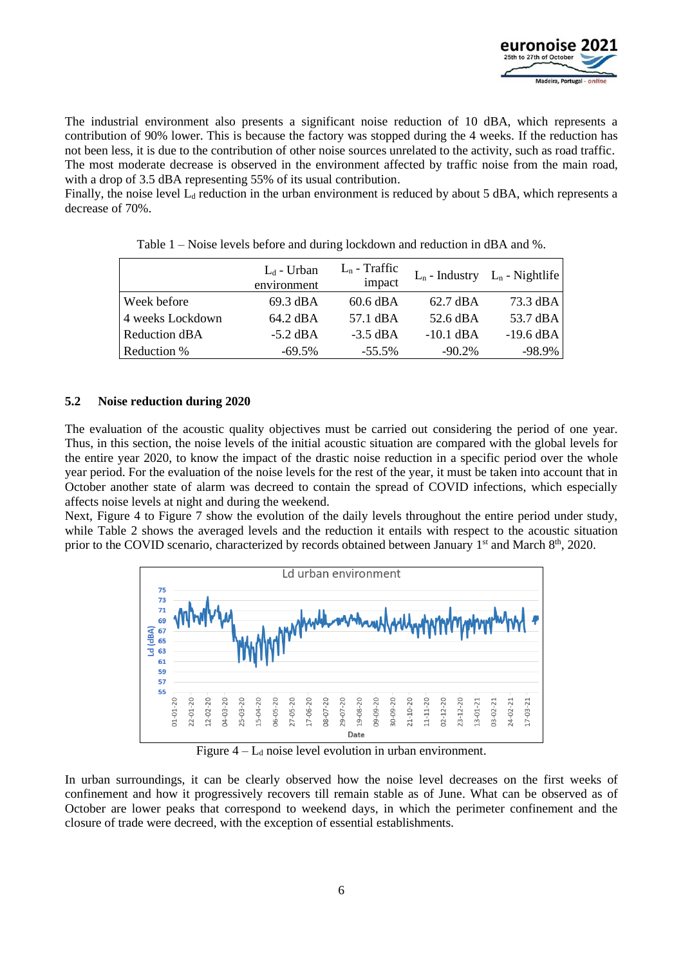

The industrial environment also presents a significant noise reduction of 10 dBA, which represents a contribution of 90% lower. This is because the factory was stopped during the 4 weeks. If the reduction has not been less, it is due to the contribution of other noise sources unrelated to the activity, such as road traffic. The most moderate decrease is observed in the environment affected by traffic noise from the main road,

with a drop of 3.5 dBA representing 55% of its usual contribution. Finally, the noise level  $L_d$  reduction in the urban environment is reduced by about 5 dBA, which represents a

<span id="page-5-0"></span>decrease of 70%.

|                  | $L_d$ - Urban<br>environment | $L_n$ - Traffic<br>impact |                    | $L_n$ - Industry $L_n$ - Nightlife |
|------------------|------------------------------|---------------------------|--------------------|------------------------------------|
| Week before      | 69.3 dBA                     | $60.6 \text{ dBA}$        | $62.7 \text{ dBA}$ | 73.3 dBA                           |
| 4 weeks Lockdown | 64.2 dBA                     | 57.1 dBA                  | 52.6 dBA           | 53.7 dBA                           |
| Reduction dBA    | $-5.2$ dBA                   | $-3.5$ dBA                | $-10.1$ dBA        | $-19.6$ dBA                        |
| Reduction %      | $-69.5\%$                    | $-55.5\%$                 | $-90.2\%$          | -98.9%                             |

Table 1 – Noise levels before and during lockdown and reduction in dBA and %.

#### **5.2 Noise reduction during 2020**

The evaluation of the acoustic quality objectives must be carried out considering the period of one year. Thus, in this section, the noise levels of the initial acoustic situation are compared with the global levels for the entire year 2020, to know the impact of the drastic noise reduction in a specific period over the whole year period. For the evaluation of the noise levels for the rest of the year, it must be taken into account that in October another state of alarm was decreed to contain the spread of COVID infections, which especially affects noise levels at night and during the weekend.

Next, [Figure 4](#page-5-1) to [Figure 7](#page-6-0) show the evolution of the daily levels throughout the entire period under study, while [Table 2](#page-7-0) shows the averaged levels and the reduction it entails with respect to the acoustic situation prior to the COVID scenario, characterized by records obtained between January 1<sup>st</sup> and March 8<sup>th</sup>, 2020.



Figure  $4 - L_d$  noise level evolution in urban environment.

<span id="page-5-1"></span>In urban surroundings, it can be clearly observed how the noise level decreases on the first weeks of confinement and how it progressively recovers till remain stable as of June. What can be observed as of October are lower peaks that correspond to weekend days, in which the perimeter confinement and the closure of trade were decreed, with the exception of essential establishments.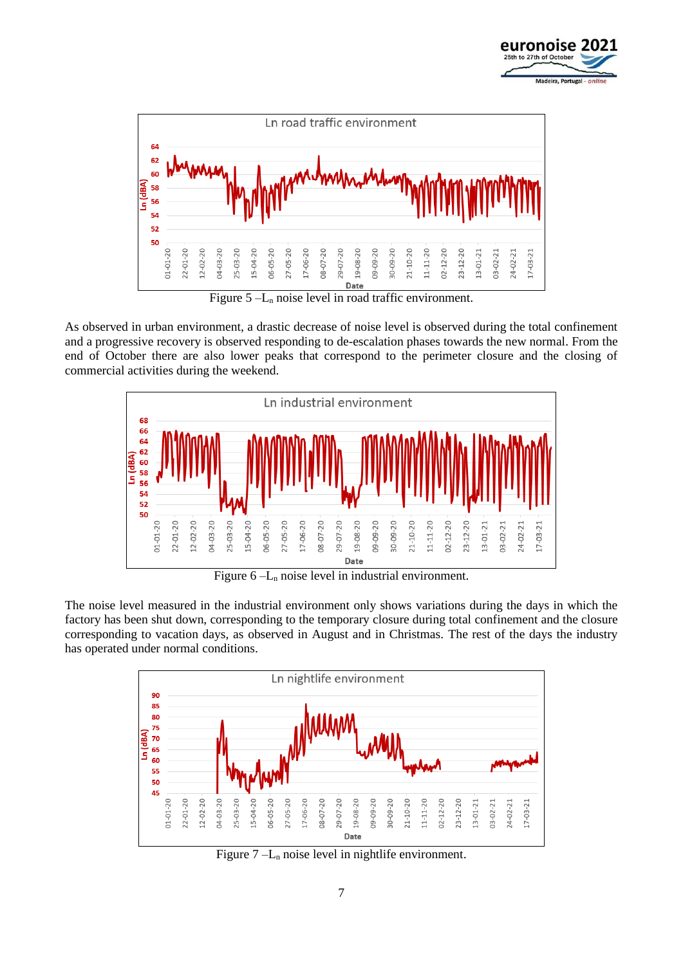



Figure  $5 - L_n$  noise level in road traffic environment.

As observed in urban environment, a drastic decrease of noise level is observed during the total confinement and a progressive recovery is observed responding to de-escalation phases towards the new normal. From the end of October there are also lower peaks that correspond to the perimeter closure and the closing of commercial activities during the weekend.



Figure  $6 - L_n$  noise level in industrial environment.

The noise level measured in the industrial environment only shows variations during the days in which the factory has been shut down, corresponding to the temporary closure during total confinement and the closure corresponding to vacation days, as observed in August and in Christmas. The rest of the days the industry has operated under normal conditions.



<span id="page-6-0"></span>Figure  $7 - L_n$  noise level in nightlife environment.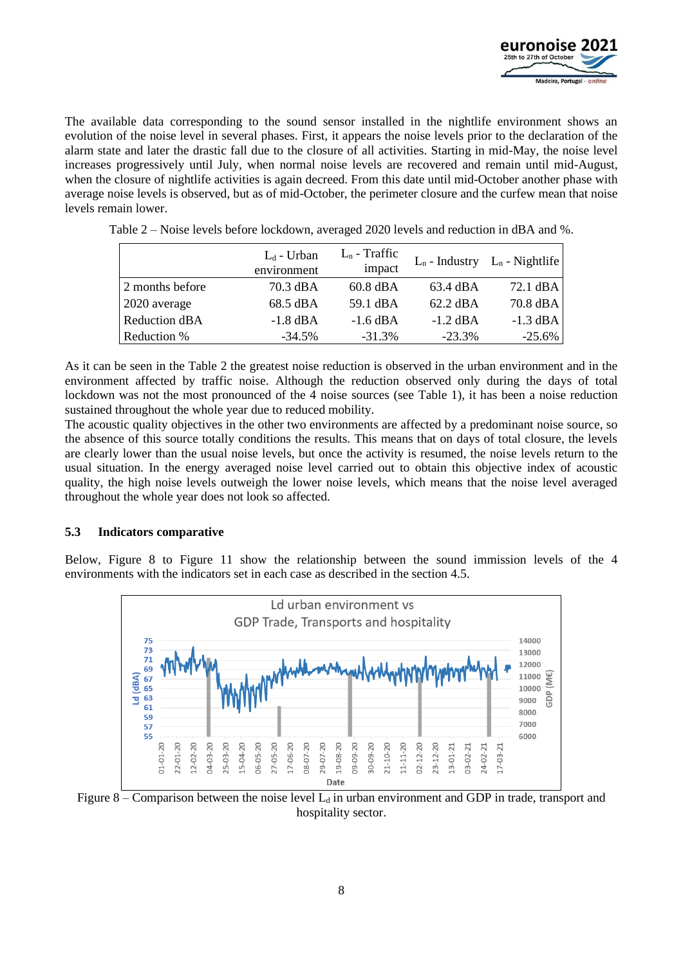

The available data corresponding to the sound sensor installed in the nightlife environment shows an evolution of the noise level in several phases. First, it appears the noise levels prior to the declaration of the alarm state and later the drastic fall due to the closure of all activities. Starting in mid-May, the noise level increases progressively until July, when normal noise levels are recovered and remain until mid-August, when the closure of nightlife activities is again decreed. From this date until mid-October another phase with average noise levels is observed, but as of mid-October, the perimeter closure and the curfew mean that noise levels remain lower.

|                 | $L_d$ - Urban<br>environment | $L_n$ - Traffic<br>impact |                    | $L_n$ - Industry $L_n$ - Nightlife |
|-----------------|------------------------------|---------------------------|--------------------|------------------------------------|
| 2 months before | 70.3 dBA                     | $60.8 \text{ dBA}$        | 63.4 dBA           | $72.1 \text{ dBA}$                 |
| 2020 average    | 68.5 dBA                     | 59.1 dBA                  | $62.2 \text{ dBA}$ | 70.8 dBA                           |
| Reduction dBA   | $-1.8$ dBA                   | $-1.6$ dBA                | $-1.2$ dBA         | $-1.3$ dBA                         |
| Reduction %     | $-34.5%$                     | $-31.3%$                  | $-23.3\%$          | $-25.6\%$                          |

<span id="page-7-0"></span>Table 2 – Noise levels before lockdown, averaged 2020 levels and reduction in dBA and %.

As it can be seen in the [Table 2](#page-7-0) the greatest noise reduction is observed in the urban environment and in the environment affected by traffic noise. Although the reduction observed only during the days of total lockdown was not the most pronounced of the 4 noise sources (see [Table 1\)](#page-5-0), it has been a noise reduction sustained throughout the whole year due to reduced mobility.

The acoustic quality objectives in the other two environments are affected by a predominant noise source, so the absence of this source totally conditions the results. This means that on days of total closure, the levels are clearly lower than the usual noise levels, but once the activity is resumed, the noise levels return to the usual situation. In the energy averaged noise level carried out to obtain this objective index of acoustic quality, the high noise levels outweigh the lower noise levels, which means that the noise level averaged throughout the whole year does not look so affected.

#### **5.3 Indicators comparative**

Below, [Figure 8](#page-7-1) to [Figure 11](#page-8-0) show the relationship between the sound immission levels of the 4 environments with the indicators set in each case as described in the section [4.5.](#page-4-0)



<span id="page-7-1"></span>Figure 8 – Comparison between the noise level  $L_d$  in urban environment and GDP in trade, transport and hospitality sector.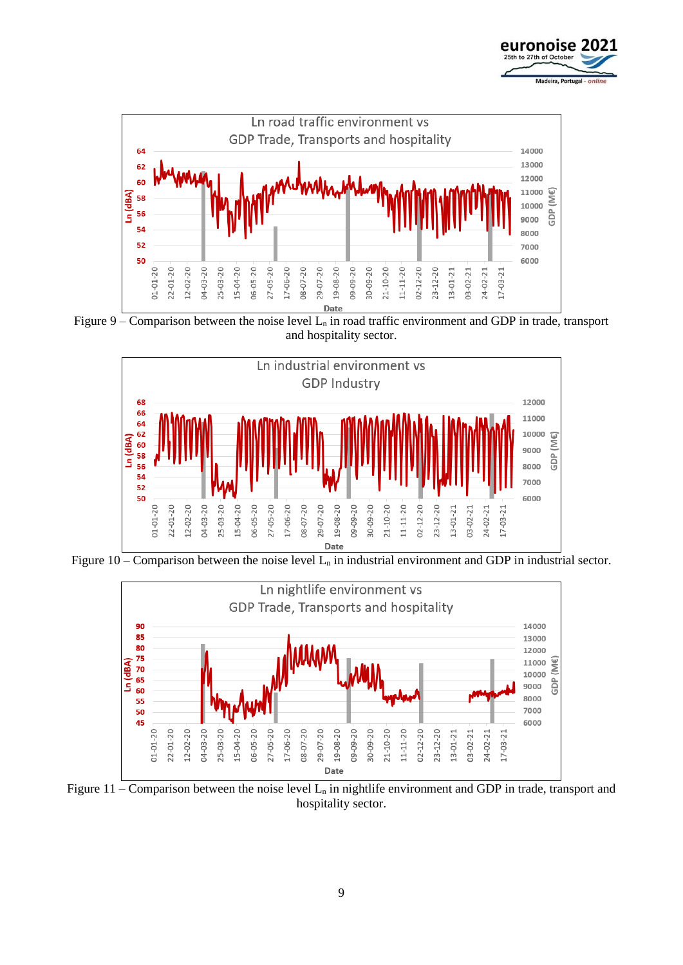



Figure 9 – Comparison between the noise level  $L_n$  in road traffic environment and GDP in trade, transport and hospitality sector.



Figure  $10$  – Comparison between the noise level  $L_n$  in industrial environment and GDP in industrial sector.



<span id="page-8-0"></span>Figure 11 – Comparison between the noise level  $L_n$  in nightlife environment and GDP in trade, transport and hospitality sector.